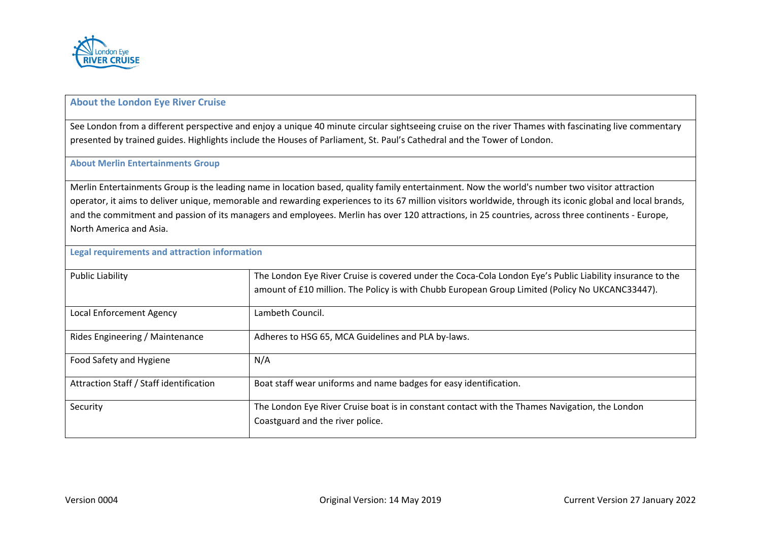

## **About the London Eye River Cruise**

See London from a different perspective and enjoy a unique 40 minute circular sightseeing cruise on the river Thames with fascinating live commentary presented by trained guides. Highlights include the Houses of Parliament, St. Paul's Cathedral and the Tower of London.

## **About Merlin Entertainments Group**

Merlin Entertainments Group is the leading name in location based, quality family entertainment. Now the world's number two visitor attraction operator, it aims to deliver unique, memorable and rewarding experiences to its 67 million visitors worldwide, through its iconic global and local brands, and the commitment and passion of its managers and employees. Merlin has over 120 attractions, in 25 countries, across three continents - Europe, North America and Asia.

## **Legal requirements and attraction information**

| <b>Public Liability</b>                 | The London Eye River Cruise is covered under the Coca-Cola London Eye's Public Liability insurance to the |
|-----------------------------------------|-----------------------------------------------------------------------------------------------------------|
|                                         | amount of £10 million. The Policy is with Chubb European Group Limited (Policy No UKCANC33447).           |
| Local Enforcement Agency                | Lambeth Council.                                                                                          |
| Rides Engineering / Maintenance         | Adheres to HSG 65, MCA Guidelines and PLA by-laws.                                                        |
| Food Safety and Hygiene                 | N/A                                                                                                       |
| Attraction Staff / Staff identification | Boat staff wear uniforms and name badges for easy identification.                                         |
| Security                                | The London Eye River Cruise boat is in constant contact with the Thames Navigation, the London            |
|                                         | Coastguard and the river police.                                                                          |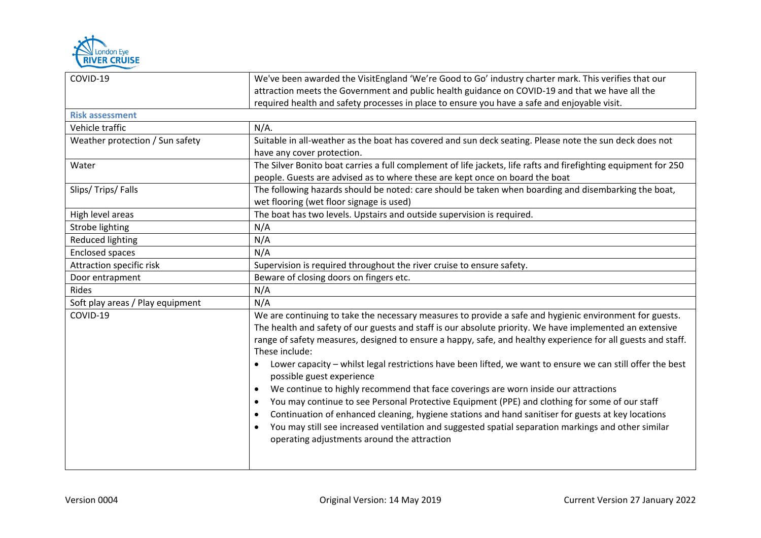

| COVID-19                         | We've been awarded the VisitEngland 'We're Good to Go' industry charter mark. This verifies that our                                                                                                                |
|----------------------------------|---------------------------------------------------------------------------------------------------------------------------------------------------------------------------------------------------------------------|
|                                  | attraction meets the Government and public health guidance on COVID-19 and that we have all the                                                                                                                     |
|                                  | required health and safety processes in place to ensure you have a safe and enjoyable visit.                                                                                                                        |
| <b>Risk assessment</b>           |                                                                                                                                                                                                                     |
| Vehicle traffic                  | $N/A$ .                                                                                                                                                                                                             |
| Weather protection / Sun safety  | Suitable in all-weather as the boat has covered and sun deck seating. Please note the sun deck does not<br>have any cover protection.                                                                               |
| Water                            | The Silver Bonito boat carries a full complement of life jackets, life rafts and firefighting equipment for 250<br>people. Guests are advised as to where these are kept once on board the boat                     |
| Slips/Trips/Falls                | The following hazards should be noted: care should be taken when boarding and disembarking the boat,<br>wet flooring (wet floor signage is used)                                                                    |
| High level areas                 | The boat has two levels. Upstairs and outside supervision is required.                                                                                                                                              |
| Strobe lighting                  | N/A                                                                                                                                                                                                                 |
| Reduced lighting                 | N/A                                                                                                                                                                                                                 |
| Enclosed spaces                  | N/A                                                                                                                                                                                                                 |
| Attraction specific risk         | Supervision is required throughout the river cruise to ensure safety.                                                                                                                                               |
| Door entrapment                  | Beware of closing doors on fingers etc.                                                                                                                                                                             |
| Rides                            | N/A                                                                                                                                                                                                                 |
| Soft play areas / Play equipment | N/A                                                                                                                                                                                                                 |
| COVID-19                         | We are continuing to take the necessary measures to provide a safe and hygienic environment for guests.<br>The health and safety of our guests and staff is our absolute priority. We have implemented an extensive |
|                                  | range of safety measures, designed to ensure a happy, safe, and healthy experience for all guests and staff.<br>These include:                                                                                      |
|                                  | Lower capacity - whilst legal restrictions have been lifted, we want to ensure we can still offer the best<br>possible guest experience                                                                             |
|                                  | We continue to highly recommend that face coverings are worn inside our attractions<br>$\bullet$                                                                                                                    |
|                                  | You may continue to see Personal Protective Equipment (PPE) and clothing for some of our staff<br>$\bullet$                                                                                                         |
|                                  | Continuation of enhanced cleaning, hygiene stations and hand sanitiser for guests at key locations<br>$\bullet$                                                                                                     |
|                                  | You may still see increased ventilation and suggested spatial separation markings and other similar<br>operating adjustments around the attraction                                                                  |
|                                  |                                                                                                                                                                                                                     |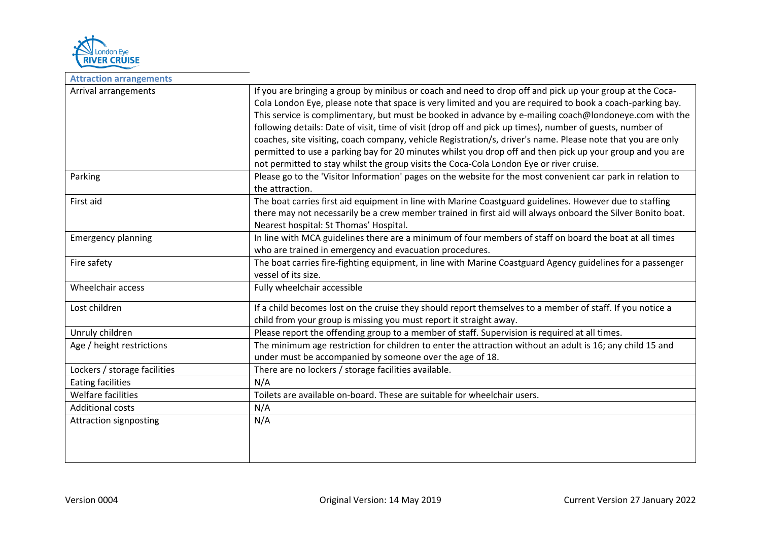

 $\blacksquare$ 

| <b>Attraction arrangements</b>  |                                                                                                                                                                                                                                                                                                                                                                                                                                                                                                                                                                                                                                                                                                                                                                                                                                                                                    |
|---------------------------------|------------------------------------------------------------------------------------------------------------------------------------------------------------------------------------------------------------------------------------------------------------------------------------------------------------------------------------------------------------------------------------------------------------------------------------------------------------------------------------------------------------------------------------------------------------------------------------------------------------------------------------------------------------------------------------------------------------------------------------------------------------------------------------------------------------------------------------------------------------------------------------|
| Arrival arrangements<br>Parking | If you are bringing a group by minibus or coach and need to drop off and pick up your group at the Coca-<br>Cola London Eye, please note that space is very limited and you are required to book a coach-parking bay.<br>This service is complimentary, but must be booked in advance by e-mailing coach@londoneye.com with the<br>following details: Date of visit, time of visit (drop off and pick up times), number of guests, number of<br>coaches, site visiting, coach company, vehicle Registration/s, driver's name. Please note that you are only<br>permitted to use a parking bay for 20 minutes whilst you drop off and then pick up your group and you are<br>not permitted to stay whilst the group visits the Coca-Cola London Eye or river cruise.<br>Please go to the 'Visitor Information' pages on the website for the most convenient car park in relation to |
|                                 | the attraction.                                                                                                                                                                                                                                                                                                                                                                                                                                                                                                                                                                                                                                                                                                                                                                                                                                                                    |
| First aid                       | The boat carries first aid equipment in line with Marine Coastguard guidelines. However due to staffing<br>there may not necessarily be a crew member trained in first aid will always onboard the Silver Bonito boat.<br>Nearest hospital: St Thomas' Hospital.                                                                                                                                                                                                                                                                                                                                                                                                                                                                                                                                                                                                                   |
| <b>Emergency planning</b>       | In line with MCA guidelines there are a minimum of four members of staff on board the boat at all times<br>who are trained in emergency and evacuation procedures.                                                                                                                                                                                                                                                                                                                                                                                                                                                                                                                                                                                                                                                                                                                 |
| Fire safety                     | The boat carries fire-fighting equipment, in line with Marine Coastguard Agency guidelines for a passenger<br>vessel of its size.                                                                                                                                                                                                                                                                                                                                                                                                                                                                                                                                                                                                                                                                                                                                                  |
| Wheelchair access               | Fully wheelchair accessible                                                                                                                                                                                                                                                                                                                                                                                                                                                                                                                                                                                                                                                                                                                                                                                                                                                        |
| Lost children                   | If a child becomes lost on the cruise they should report themselves to a member of staff. If you notice a<br>child from your group is missing you must report it straight away.                                                                                                                                                                                                                                                                                                                                                                                                                                                                                                                                                                                                                                                                                                    |
| Unruly children                 | Please report the offending group to a member of staff. Supervision is required at all times.                                                                                                                                                                                                                                                                                                                                                                                                                                                                                                                                                                                                                                                                                                                                                                                      |
| Age / height restrictions       | The minimum age restriction for children to enter the attraction without an adult is 16; any child 15 and<br>under must be accompanied by someone over the age of 18.                                                                                                                                                                                                                                                                                                                                                                                                                                                                                                                                                                                                                                                                                                              |
| Lockers / storage facilities    | There are no lockers / storage facilities available.                                                                                                                                                                                                                                                                                                                                                                                                                                                                                                                                                                                                                                                                                                                                                                                                                               |
| <b>Eating facilities</b>        | N/A                                                                                                                                                                                                                                                                                                                                                                                                                                                                                                                                                                                                                                                                                                                                                                                                                                                                                |
| Welfare facilities              | Toilets are available on-board. These are suitable for wheelchair users.                                                                                                                                                                                                                                                                                                                                                                                                                                                                                                                                                                                                                                                                                                                                                                                                           |
| <b>Additional costs</b>         | N/A                                                                                                                                                                                                                                                                                                                                                                                                                                                                                                                                                                                                                                                                                                                                                                                                                                                                                |
| <b>Attraction signposting</b>   | N/A                                                                                                                                                                                                                                                                                                                                                                                                                                                                                                                                                                                                                                                                                                                                                                                                                                                                                |